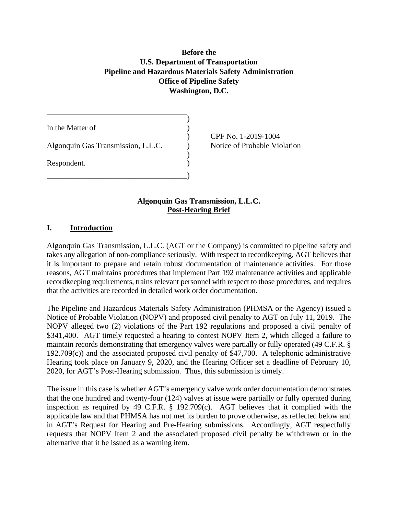# **Before the U.S. Department of Transportation** Before the<br>U.S. Department of Transportation<br>Pipeline and Hazardous Materials Safety Administration<br>Office of Pipeline Safety **Washington, D.C.**

| In the Matter of                   |  |
|------------------------------------|--|
| Algonquin Gas Transmission, L.L.C. |  |
| Respondent.                        |  |
|                                    |  |

) CPF No. 1-2019-1004 Notice of Probable Violation

#### **Algonquin Gas Transmission, L.L.C. Post-Hearing Brief**

#### **I. Introduction**

 Algonquin Gas Transmission, L.L.C. (AGT or the Company) is committed to pipeline safety and takes any allegation of non-compliance seriously. With respect to recordkeeping, AGT believes that it is important to prepare and retain robust documentation of maintenance activities. For those reasons, AGT maintains procedures that implement Part 192 maintenance activities and applicable recordkeeping requirements, trains relevant personnel with respect to those procedures, and requires that the activities are recorded in detailed work order documentation.

 The Pipeline and Hazardous Materials Safety Administration (PHMSA or the Agency) issued a Notice of Probable Violation (NOPV) and proposed civil penalty to AGT on July 11, 2019. The NOPV alleged two (2) violations of the Part 192 regulations and proposed a civil penalty of \$341,400. AGT timely requested a hearing to contest NOPV Item 2, which alleged a failure to maintain records demonstrating that emergency valves were partially or fully operated (49 C.F.R. § 192.709(c)) and the associated proposed civil penalty of \$47,700. A telephonic administrative Hearing took place on January 9, 2020, and the Hearing Officer set a deadline of February 10, 2020, for AGT's Post-Hearing submission. Thus, this submission is timely. 2020, for AGT's Post-Hearing submission. Thus, this submission is timely.<br>The issue in this case is whether AGT's emergency valve work order documentation demonstrates

 that the one hundred and twenty-four (124) valves at issue were partially or fully operated during applicable law and that PHMSA has not met its burden to prove otherwise, as reflected below and in AGT's Request for Hearing and Pre-Hearing submissions. Accordingly, AGT respectfully requests that NOPV Item 2 and the associated proposed civil penalty be withdrawn or in the inspection as required by 49 C.F.R. § 192.709(c). AGT believes that it complied with the alternative that it be issued as a warning item.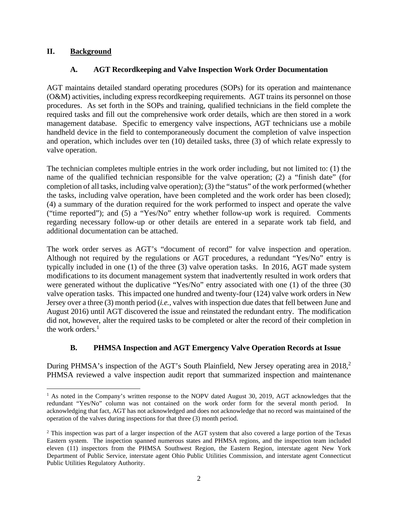## **Background**

# **II. Background A. AGT Recordkeeping and Valve Inspection Work Order Documentation**

 AGT maintains detailed standard operating procedures (SOPs) for its operation and maintenance (O&M) activities, including express recordkeeping requirements. AGT trains its personnel on those procedures. As set forth in the SOPs and training, qualified technicians in the field complete the required tasks and fill out the comprehensive work order details, which are then stored in a work management database. Specific to emergency valve inspections, AGT technicians use a mobile handheld device in the field to contemporaneously document the completion of valve inspection and operation, which includes over ten (10) detailed tasks, three (3) of which relate expressly to valve operation.

 The technician completes multiple entries in the work order including, but not limited to: (1) the name of the qualified technician responsible for the valve operation; (2) a "finish date" (for completion of all tasks, including valve operation); (3) the "status" of the work performed (whether the tasks, including valve operation, have been completed and the work order has been closed); (4) a summary of the duration required for the work performed to inspect and operate the valve ("time reported"); and (5) a "Yes/No" entry whether follow-up work is required. Comments regarding necessary follow-up or other details are entered in a separate work tab field, and additional documentation can be attached.

 The work order serves as AGT's "document of record" for valve inspection and operation. Although not required by the regulations or AGT procedures, a redundant "Yes/No" entry is typically included in one (1) of the three (3) valve operation tasks. In 2016, AGT made system modifications to its document management system that inadvertently resulted in work orders that were generated without the duplicative "Yes/No" entry associated with one (1) of the three (30 valve operation tasks. This impacted one hundred and twenty-four (124) valve work orders in New Jersey over a three (3) month period (*i.e.,* valves with inspection due dates that fell between June and did not, however, alter the required tasks to be completed or alter the record of their completion in the work orders. $<sup>1</sup>$ </sup> August 2016) until AGT discovered the issue and reinstated the redundant entry. The modification

# **B. PHMSA Inspection and AGT Emergency Valve Operation Records at Issue**

During PHMSA's inspection of the AGT's South Plainfield, New Jersey operating area in 2018,<sup>2</sup> PHMSA reviewed a valve inspection audit report that summarized inspection and maintenance

<sup>&</sup>lt;sup>1</sup> As noted in the Company's written response to the NOPV dated August 30, 2019, AGT acknowledges that the redundant "Yes/No" column was not contained on the work order form for the several month period. In acknowledging that fact, AGT has not acknowledged and does not acknowledge that no record was maintained of the operation of the valves during inspections for that three (3) month period.

<sup>&</sup>lt;sup>2</sup> This inspection was part of a larger inspection of the AGT system that also covered a large portion of the Texas Eastern system. The inspection spanned numerous states and PHMSA regions, and the inspection team included eleven (11) inspectors from the PHMSA Southwest Region, the Eastern Region, interstate agent New York Department of Public Service, interstate agent Ohio Public Utilities Commission, and interstate agent Connecticut Public Utilities Regulatory Authority.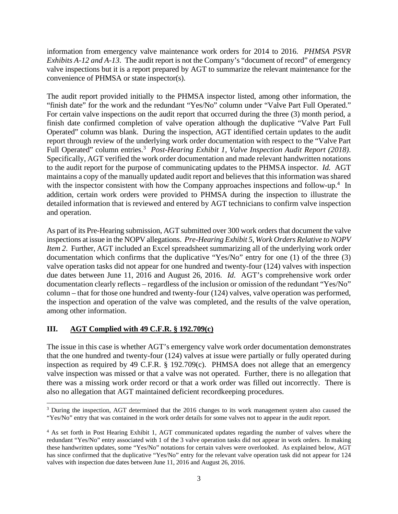information from emergency valve maintenance work orders for 2014 to 2016. *PHMSA PSVR Exhibits A-12 and A-13*. The audit report is not the Company's "document of record" of emergency convenience of PHMSA or state inspector(s). valve inspections but it is a report prepared by AGT to summarize the relevant maintenance for the

 The audit report provided initially to the PHMSA inspector listed, among other information, the "finish date" for the work and the redundant "Yes/No" column under "Valve Part Full Operated." For certain valve inspections on the audit report that occurred during the three (3) month period, a finish date confirmed completion of valve operation although the duplicative "Valve Part Full Operated" column was blank. During the inspection, AGT identified certain updates to the audit report through review of the underlying work order documentation with respect to the "Valve Part Full Operated" column entries.<sup>3</sup> Post-Hearing Exhibit 1, Valve Inspection Audit Report (2018). Specifically, AGT verified the work order documentation and made relevant handwritten notations to the audit report for the purpose of communicating updates to the PHMSA inspector. *Id.* AGT maintains a copy of the manually updated audit report and believes that this information was shared with the inspector consistent with how the Company approaches inspections and follow-up.<sup>4</sup> In addition, certain work orders were provided to PHMSA during the inspection to illustrate the and operation. detailed information that is reviewed and entered by AGT technicians to confirm valve inspection

and operation.<br>As part of its Pre-Hearing submission, AGT submitted over 300 work orders that document the valve inspections at issue in the NOPV allegations. *Pre-Hearing Exhibit 5, Work Orders Relative to NOPV Item 2*. Further, AGT included an Excel spreadsheet summarizing all of the underlying work order documentation which confirms that the duplicative "Yes/No" entry for one (1) of the three (3) valve operation tasks did not appear for one hundred and twenty-four (124) valves with inspection due dates between June 11, 2016 and August 26, 2016. *Id*. AGT's comprehensive work order documentation clearly reflects – regardless of the inclusion or omission of the redundant "Yes/No" column – that for those one hundred and twenty-four (124) valves, valve operation was performed, the inspection and operation of the valve was completed, and the results of the valve operation, among other information.

# **III. AGT Complied with 49 C.F.R. § 192.709(c)**

 The issue in this case is whether AGT's emergency valve work order documentation demonstrates that the one hundred and twenty-four (124) valves at issue were partially or fully operated during inspection as required by 49 C.F.R. § 192.709(c). PHMSA does not allege that an emergency valve inspection was missed or that a valve was not operated. Further, there is no allegation that there was a missing work order record or that a work order was filled out incorrectly. There is also no allegation that AGT maintained deficient recordkeeping procedures.

<sup>&</sup>lt;sup>3</sup> During the inspection, AGT determined that the 2016 changes to its work management system also caused the "Yes/No" entry that was contained in the work order details for some valves not to appear in the audit report.

<sup>&</sup>lt;sup>4</sup> As set forth in Post Hearing Exhibit 1, AGT communicated updates regarding the number of valves where the redundant "Yes/No" entry associated with 1 of the 3 valve operation tasks did not appear in work orders. In making these handwritten updates, some "Yes/No" notations for certain valves were overlooked. As explained below, AGT has since confirmed that the duplicative "Yes/No" entry for the relevant valve operation task did not appear for 124 valves with inspection due dates between June 11, 2016 and August 26, 2016.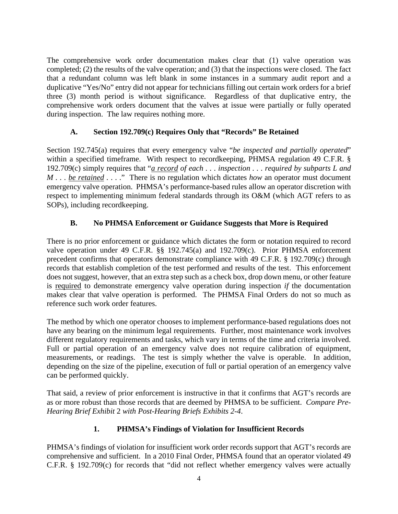The comprehensive work order documentation makes clear that (1) valve operation was completed; (2) the results of the valve operation; and (3) that the inspections were closed. The fact that a redundant column was left blank in some instances in a summary audit report and a duplicative "Yes/No" entry did not appear for technicians filling out certain work orders for a brief three (3) month period is without significance. Regardless of that duplicative entry, the comprehensive work orders document that the valves at issue were partially or fully operated during inspection. The law requires nothing more.

# **A. Section 192.709(c) Requires Only that "Records" Be Retained**

192.709(c) simply requires that "*a record of each ... inspection ... required by subparts L and M*... *be retained* ...." There is no regulation which dictates *how* an operator must document emergency valve operation. PHMSA's performance-based rules allow an operator discretion with respect to implementing minimum federal standards through its O&M (which AGT refers to as Section 192.745(a) requires that every emergency valve "*be inspected and partially operated*" within a specified timeframe. With respect to recordkeeping, PHMSA regulation 49 C.F.R. § SOPs), including recordkeeping.

# **B. No PHMSA Enforcement or Guidance Suggests that More is Required**

 There is no prior enforcement or guidance which dictates the form or notation required to record valve operation under 49 C.F.R. §§ 192.745(a) and 192.709(c). Prior PHMSA enforcement precedent confirms that operators demonstrate compliance with 49 C.F.R. § 192.709(c) through records that establish completion of the test performed and results of the test. This enforcement does not suggest, however, that an extra step such as a check box, drop down menu, or other feature is required to demonstrate emergency valve operation during inspection *if* the documentation makes clear that valve operation is performed. The PHMSA Final Orders do not so much as reference such work order features.

reference such work order features.<br>The method by which one operator chooses to implement performance-based regulations does not have any bearing on the minimum legal requirements. Further, most maintenance work involves different regulatory requirements and tasks, which vary in terms of the time and criteria involved. different regulatory requirements and tasks, which vary in terms of the time and criteria involved. Full or partial operation of an emergency valve does not require calibration of equipment, measurements, or readings. The test is simply whether the valve is operable. In addition, depending on the size of the pipeline, execution of full or partial operation of an emergency valve can be performed quickly.

 That said, a review of prior enforcement is instructive in that it confirms that AGT's records are as or more robust than those records that are deemed by PHMSA to be sufficient. *Compare Pre-Hearing Brief Exhibit* 2 *with Post-Hearing Briefs Exhibits 2-4*.

#### **1. PHMSA's Findings of Violation for Insufficient Records**

 PHMSA's findings of violation for insufficient work order records support that AGT's records are comprehensive and sufficient. In a 2010 Final Order, PHMSA found that an operator violated 49 C.F.R. § 192.709(c) for records that "did not reflect whether emergency valves were actually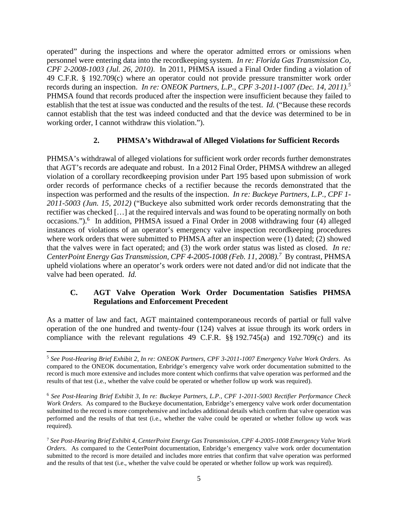operated" during the inspections and where the operator admitted errors or omissions when personnel were entering data into the recordkeeping system. *In re: Florida Gas Transmission Co, CPF 2-2008-1003 (Jul. 26, 2010)*. In 2011, PHMSA issued a Final Order finding a violation of 49 C.F.R. § 192.709(c) where an operator could not provide pressure transmitter work order records during an inspection. *In re: ONEOK Partners, L.P., CPF 3-2011-1007 (Dec. 14, 2011).<sup>5</sup>* PHMSA found that records produced after the inspection were insufficient because they failed to establish that the test at issue was conducted and the results of the test. *Id.* ("Because these records cannot establish that the test was indeed conducted and that the device was determined to be in working order, I cannot withdraw this violation.").

#### **2. PHMSA's Withdrawal of Alleged Violations for Sufficient Records**

 PHMSA's withdrawal of alleged violations for sufficient work order records further demonstrates that AGT's records are adequate and robust. In a 2012 Final Order, PHMSA withdrew an alleged violation of a corollary recordkeeping provision under Part 195 based upon submission of work order records of performance checks of a rectifier because the records demonstrated that the inspection was performed and the results of the inspection. *In re: Buckeye Partners, L.P., CPF 1- 2011-5003 (Jun. 15, 2012)* ("Buckeye also submitted work order records demonstrating that the rectifier was checked […] at the required intervals and was found to be operating normally on both occasions.").<sup>6</sup> In addition, PHMSA issued a Final Order in 2008 withdrawing four (4) alleged instances of violations of an operator's emergency valve inspection recordkeeping procedures that the valves were in fact operated; and (3) the work order status was listed as closed. *In re:*  CenterPoint Energy Gas Transmission, CPF 4-2005-1008 (Feb. 11, 2008).<sup>7</sup> By contrast, PHMSA upheld violations where an operator's work orders were not dated and/or did not indicate that the where work orders that were submitted to PHMSA after an inspection were (1) dated; (2) showed valve had been operated. *Id.* 

#### **C. AGT Valve Operation Work Order Documentation Satisfies PHMSA Regulations and Enforcement Precedent**

 As a matter of law and fact, AGT maintained contemporaneous records of partial or full valve operation of the one hundred and twenty-four (124) valves at issue through its work orders in compliance with the relevant regulations 49 C.F.R.  $\S$ § 192.745(a) and 192.709(c) and its

 <sup>5</sup>*See Post-Hearing Brief Exhibit 2, In re: ONEOK Partners, CPF 3-2011-1007 Emergency Valve Work Orders*. As compared to the ONEOK documentation, Enbridge's emergency valve work order documentation submitted to the record is much more extensive and includes more content which confirms that valve operation was performed and the results of that test (i.e., whether the valve could be operated or whether follow up work was required).

 <sup>6</sup>*See Post-Hearing Brief Exhibit 3, In re: Buckeye Partners, L.P., CPF 1-2011-5003 Rectifier Performance Check Work Orders*. As compared to the Buckeye documentation, Enbridge's emergency valve work order documentation submitted to the record is more comprehensive and includes additional details which confirm that valve operation was performed and the results of that test (i.e., whether the valve could be operated or whether follow up work was required).

required).<br><sup>7</sup> See Post-Hearing Brief Exhibit 4, CenterPoint Energy Gas Transmission, CPF 4-2005-1008 Emergency Valve Work *Orders*. As compared to the CenterPoint documentation, Enbridge's emergency valve work order documentation submitted to the record is more detailed and includes more entries that confirm that valve operation was performed and the results of that test (i.e., whether the valve could be operated or whether follow up work was required).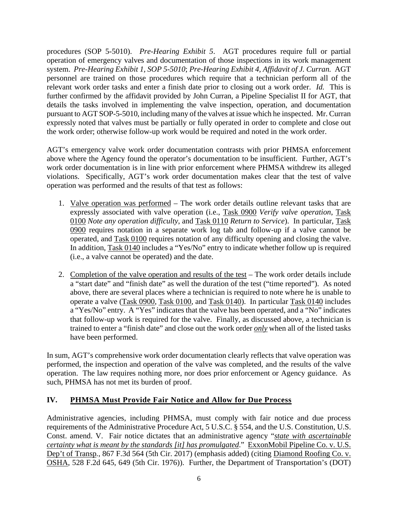procedures (SOP 5-5010). *Pre-Hearing Exhibit 5*. AGT procedures require full or partial operation of emergency valves and documentation of those inspections in its work management system. *Pre-Hearing Exhibit 1, SOP 5-5010*; *Pre-Hearing Exhibit 4, Affidavit of J. Curran.* AGT personnel are trained on those procedures which require that a technician perform all of the relevant work order tasks and enter a finish date prior to closing out a work order. *Id.* This is further confirmed by the affidavit provided by John Curran, a Pipeline Specialist II for AGT, that details the tasks involved in implementing the valve inspection, operation, and documentation pursuant to AGT SOP-5-5010, including many of the valves at issue which he inspected. Mr. Curran expressly noted that valves must be partially or fully operated in order to complete and close out the work order; otherwise follow-up work would be required and noted in the work order.

 AGT's emergency valve work order documentation contrasts with prior PHMSA enforcement above where the Agency found the operator's documentation to be insufficient. Further, AGT's work order documentation is in line with prior enforcement where PHMSA withdrew its alleged violations. Specifically, AGT's work order documentation makes clear that the test of valve operation was performed and the results of that test as follows:

- operation was performed and the results of that test as follows:<br>1. Valve operation was performed The work order details outline relevant tasks that are expressly associated with valve operation (i.e., Task 0900 *Verify valve operation*, Task  0100 *Note any operation difficulty*, and Task 0110 *Return to Service*). In particular, Task 0900 requires notation in a separate work log tab and follow-up if a valve cannot be operated, and Task 0100 requires notation of any difficulty opening and closing the valve. operated, and Task 0100 requires notation of any difficulty opening and closing the valve.<br>In addition, Task 0140 includes a "Yes/No" entry to indicate whether follow up is required (i.e., a valve cannot be operated) and the date.
	- 2. Completion of the valve operation and results of the test The work order details include above, there are several places where a technician is required to note where he is unable to a "Yes/No" entry. A "Yes" indicates that the valve has been operated, and a "No" indicates that follow-up work is required for the valve. Finally, as discussed above, a technician is trained to enter a "finish date" and close out the work order *only* when all of the listed tasks a "start date" and "finish date" as well the duration of the test ("time reported"). As noted operate a valve (Task 0900, Task 0100, and Task 0140). In particular Task 0140 includes have been performed.

 In sum, AGT's comprehensive work order documentation clearly reflects that valve operation was performed, the inspection and operation of the valve was completed, and the results of the valve operation. The law requires nothing more, nor does prior enforcement or Agency guidance. As such, PHMSA has not met its burden of proof.

# **IV. PHMSA Must Provide Fair Notice and Allow for Due Process**

 Administrative agencies, including PHMSA, must comply with fair notice and due process requirements of the Administrative Procedure Act, 5 U.S.C. § 554, and the U.S. Constitution, U.S. Const. amend. V. Fair notice dictates that an administrative agency "*state with ascertainable certainty what is meant by the standards [it] has promulgated*." ExxonMobil Pipeline Co. v. U.S. OSHA, 528 F.2d 645, 649 (5th Cir. 1976)). Further, the Department of Transportation's (DOT) Dep't of Transp*.*, 867 F.3d 564 (5th Cir. 2017) (emphasis added) (citing Diamond Roofing Co. v.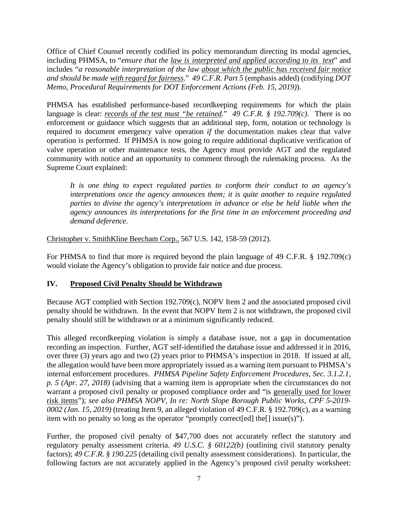Office of Chief Counsel recently codified its policy memorandum directing its modal agencies, including PHMSA, to "*ensure that the <u>law is interpreted and applied according to its text</u>" and*  includes "*a reasonable interpretation of the law about which the public has received fair notice and should be made with regard for fairness*." *49 C.F.R. Part 5* (emphasis added) (codifying *DOT Memo, Procedural Requirements for DOT Enforcement Actions (Feb. 15, 2019)*).

 PHMSA has established performance-based recordkeeping requirements for which the plain language is clear: *records of the test must "be retained*." *49 C.F.R. § 192.709(c)*. There is no enforcement or guidance which suggests that an additional step, form, notation or technology is required to document emergency valve operation *if* the documentation makes clear that valve operation is performed. If PHMSA is now going to require additional duplicative verification of valve operation or other maintenance tests, the Agency must provide AGT and the regulated community with notice and an opportunity to comment through the rulemaking process. As the Supreme Court explained:

 *It is one thing to expect regulated parties to conform their conduct to an agency's interpretations once the agency announces them; it is quite another to require regulated parties to divine the agency's interpretations in advance or else be held liable when the agency announces its interpretations for the first time in an enforcement proceeding and*  demand deference.

*demand deference.*<br>Christopher v. SmithKline Beecham Corp., 567 U.S. 142, 158-59 (2012).

 For PHMSA to find that more is required beyond the plain language of 49 C.F.R. § 192.709(c) would violate the Agency's obligation to provide fair notice and due process.

#### **IV. Proposed Civil Penalty Should be Withdrawn**

 penalty should be withdrawn. In the event that NOPV Item 2 is not withdrawn, the proposed civil Because AGT complied with Section 192.709(c), NOPV Item 2 and the associated proposed civil penalty should still be withdrawn or at a minimum significantly reduced.

 This alleged recordkeeping violation is simply a database issue, not a gap in documentation recording an inspection. Further, AGT self-identified the database issue and addressed it in 2016, over three (3) years ago and two (2) years prior to PHMSA's inspection in 2018. If issued at all, the allegation would have been more appropriately issued as a warning item pursuant to PHMSA's internal enforcement procedures. *PHMSA Pipeline Safety Enforcement Procedures, Sec. 3.1.2.1, p. 5 (Apr. 27, 2018)* (advising that a warning item is appropriate when the circumstances do not warrant a proposed civil penalty or proposed compliance order and "is generally used for lower risk items"); *see also PHMSA NOPV, In re: North Slope Borough Public Works, CPF 5-2019- 0002 (Jan. 15, 2019)* (treating Item 9, an alleged violation of 49 C.F.R. § 192.709(c), as a warning item with no penalty so long as the operator "promptly correct[ed] the[] issue(s)").

 Further, the proposed civil penalty of \$47,700 does not accurately reflect the statutory and regulatory penalty assessment criteria. *49 U.S.C. § 60122(b)* (outlining civil statutory penalty factors); *49 C.F.R. § 190.225* (detailing civil penalty assessment considerations). In particular, the following factors are not accurately applied in the Agency's proposed civil penalty worksheet: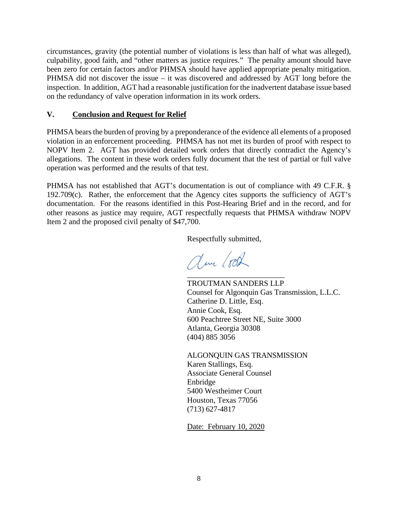circumstances, gravity (the potential number of violations is less than half of what was alleged), culpability, good faith, and "other matters as justice requires." The penalty amount should have been zero for certain factors and/or PHMSA should have applied appropriate penalty mitigation. PHMSA did not discover the issue – it was discovered and addressed by AGT long before the inspection. In addition, AGT had a reasonable justification for the inadvertent database issue based on the redundancy of valve operation information in its work orders.

#### **V. Conclusion and Request for Relief**

 PHMSA bears the burden of proving by a preponderance of the evidence all elements of a proposed violation in an enforcement proceeding. PHMSA has not met its burden of proof with respect to NOPV Item 2. AGT has provided detailed work orders that directly contradict the Agency's allegations. The content in these work orders fully document that the test of partial or full valve operation was performed and the results of that test.

 PHMSA has not established that AGT's documentation is out of compliance with 49 C.F.R. § 192.709(c). Rather, the enforcement that the Agency cites supports the sufficiency of AGT's documentation. For the reasons identified in this Post-Hearing Brief and in the record, and for other reasons as justice may require, AGT respectfully requests that PHMSA withdraw NOPV Item 2 and the proposed civil penalty of \$47,700.

Respectfully submitted,

am look \_\_\_\_\_\_\_\_\_\_\_\_\_\_\_\_\_\_\_\_\_\_\_\_\_

 TROUTMAN SANDERS LLP Annie Cook, Esq. Counsel for Algonquin Gas Transmission, L.L.C. Catherine D. Little, Esq. 600 Peachtree Street NE, Suite 3000 Atlanta, Georgia 30308 (404) 885 3056

 ALGONQUIN GAS TRANSMISSION Karen Stallings, Esq. Associate General Counsel Enbridge 5400 Westheimer Court Houston, Texas 77056 (713) 627-4817

Date: February 10, 2020